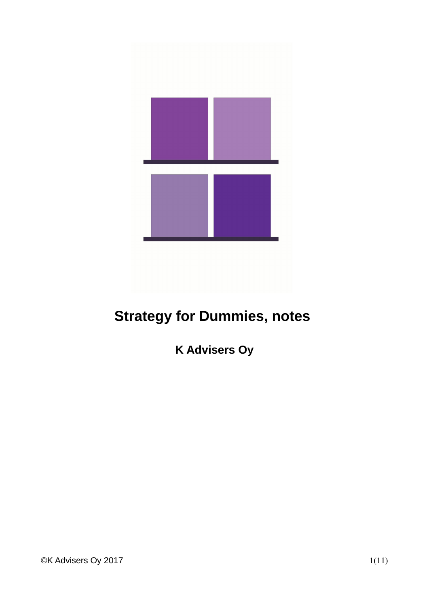

# **Strategy for Dummies, notes**

**K Advisers Oy**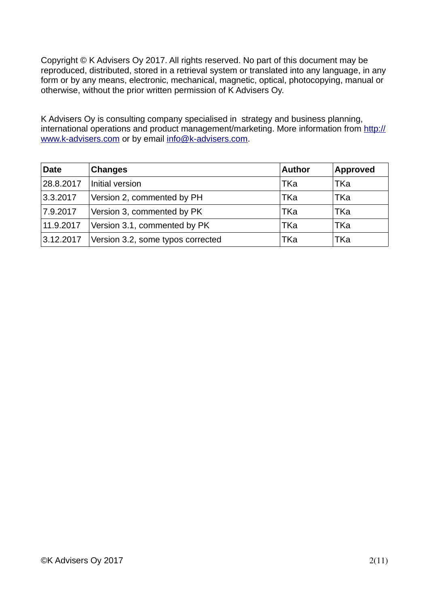Copyright © K Advisers Oy 2017. All rights reserved. No part of this document may be reproduced, distributed, stored in a retrieval system or translated into any language, in any form or by any means, electronic, mechanical, magnetic, optical, photocopying, manual or otherwise, without the prior written permission of K Advisers Oy.

K Advisers Oy is consulting company specialised in strategy and business planning, international operations and product management/marketing. More information from [http://](http://www.bk-management-consulting.com/) [www.k-advisers.com](http://www.bk-management-consulting.com/) or by email [info@k-advisers.com.](mailto:info@bk-management-consulting.com)

| <b>Date</b> | <b>Changes</b>                    | <b>Author</b> | <b>Approved</b> |
|-------------|-----------------------------------|---------------|-----------------|
| 28.8.2017   | Initial version                   | TKa           | TKa             |
| 3.3.2017    | Version 2, commented by PH        | TKa           | TKa             |
| 7.9.2017    | Version 3, commented by PK        | TKa           | TKa             |
| 11.9.2017   | Version 3.1, commented by PK      | TKa           | TKa             |
| 3.12.2017   | Version 3.2, some typos corrected | TKa           | TKa             |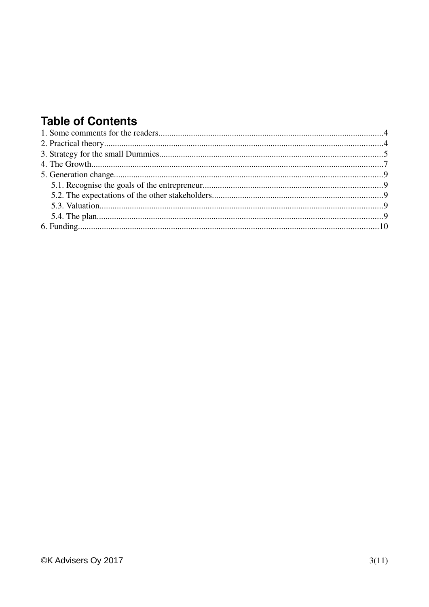## **Table of Contents**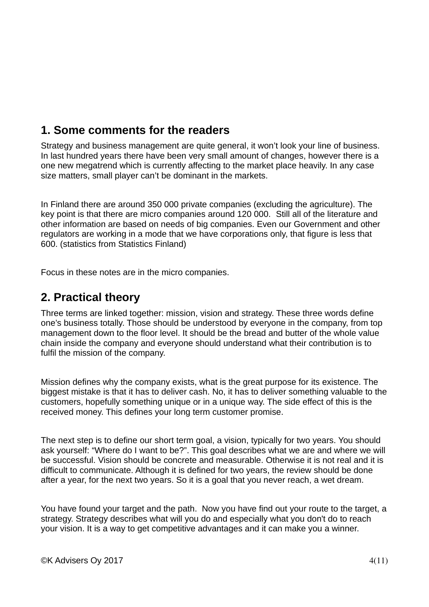### **1. Some comments for the readers**

Strategy and business management are quite general, it won't look your line of business. In last hundred years there have been very small amount of changes, however there is a one new megatrend which is currently affecting to the market place heavily. In any case size matters, small player can't be dominant in the markets.

In Finland there are around 350 000 private companies (excluding the agriculture). The key point is that there are micro companies around 120 000. Still all of the literature and other information are based on needs of big companies. Even our Government and other regulators are working in a mode that we have corporations only, that figure is less that 600. (statistics from Statistics Finland)

Focus in these notes are in the micro companies.

#### **2. Practical theory**

Three terms are linked together: mission, vision and strategy. These three words define one's business totally. Those should be understood by everyone in the company, from top management down to the floor level. It should be the bread and butter of the whole value chain inside the company and everyone should understand what their contribution is to fulfil the mission of the company.

Mission defines why the company exists, what is the great purpose for its existence. The biggest mistake is that it has to deliver cash. No, it has to deliver something valuable to the customers, hopefully something unique or in a unique way. The side effect of this is the received money. This defines your long term customer promise.

The next step is to define our short term goal, a vision, typically for two years. You should ask yourself: "Where do I want to be?". This goal describes what we are and where we will be successful. Vision should be concrete and measurable. Otherwise it is not real and it is difficult to communicate. Although it is defined for two years, the review should be done after a year, for the next two years. So it is a goal that you never reach, a wet dream.

You have found your target and the path. Now you have find out your route to the target, a strategy. Strategy describes what will you do and especially what you don't do to reach your vision. It is a way to get competitive advantages and it can make you a winner.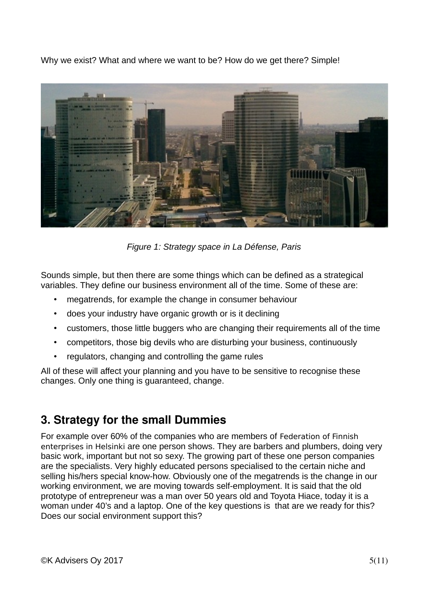Why we exist? What and where we want to be? How do we get there? Simple!



*Figure 1: Strategy space in La Défense, Paris*

Sounds simple, but then there are some things which can be defined as a strategical variables. They define our business environment all of the time. Some of these are:

- megatrends, for example the change in consumer behaviour
- does your industry have organic growth or is it declining
- customers, those little buggers who are changing their requirements all of the time
- competitors, those big devils who are disturbing your business, continuously
- regulators, changing and controlling the game rules

All of these will affect your planning and you have to be sensitive to recognise these changes. Only one thing is guaranteed, change.

### **3. Strategy for the small Dummies**

For example over 60% of the companies who are members of Federation of Finnish enterprises in Helsinki are one person shows. They are barbers and plumbers, doing very basic work, important but not so sexy. The growing part of these one person companies are the specialists. Very highly educated persons specialised to the certain niche and selling his/hers special know-how. Obviously one of the megatrends is the change in our working environment, we are moving towards self-employment. It is said that the old prototype of entrepreneur was a man over 50 years old and Toyota Hiace, today it is a woman under 40's and a laptop. One of the key questions is that are we ready for this? Does our social environment support this?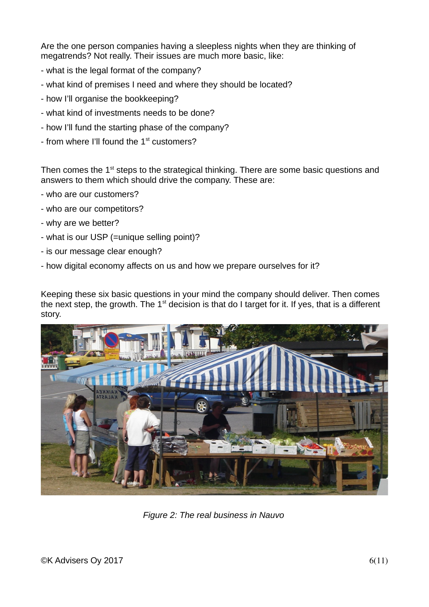Are the one person companies having a sleepless nights when they are thinking of megatrends? Not really. Their issues are much more basic, like:

- what is the legal format of the company?
- what kind of premises I need and where they should be located?
- how I'll organise the bookkeeping?
- what kind of investments needs to be done?
- how I'll fund the starting phase of the company?
- from where I'll found the 1<sup>st</sup> customers?

Then comes the 1<sup>st</sup> steps to the strategical thinking. There are some basic questions and answers to them which should drive the company. These are:

- who are our customers?
- who are our competitors?
- why are we better?
- what is our USP (=unique selling point)?
- is our message clear enough?
- how digital economy affects on us and how we prepare ourselves for it?

Keeping these six basic questions in your mind the company should deliver. Then comes the next step, the growth. The  $1<sup>st</sup>$  decision is that do I target for it. If yes, that is a different story.



*Figure 2: The real business in Nauvo*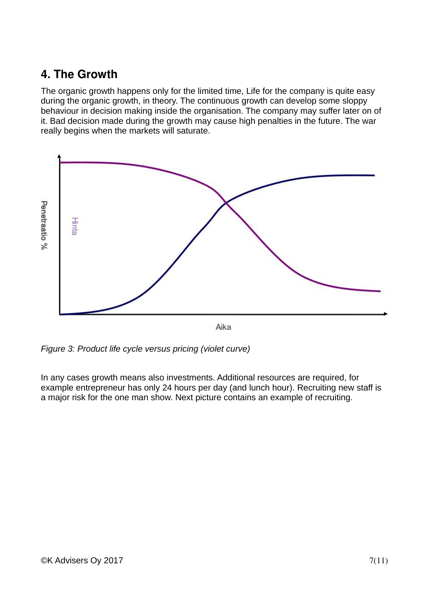### **4. The Growth**

The organic growth happens only for the limited time, Life for the company is quite easy during the organic growth, in theory. The continuous growth can develop some sloppy behaviour in decision making inside the organisation. The company may suffer later on of it. Bad decision made during the growth may cause high penalties in the future. The war really begins when the markets will saturate.



*Figure 3: Product life cycle versus pricing (violet curve)*

In any cases growth means also investments. Additional resources are required, for example entrepreneur has only 24 hours per day (and lunch hour). Recruiting new staff is a major risk for the one man show. Next picture contains an example of recruiting.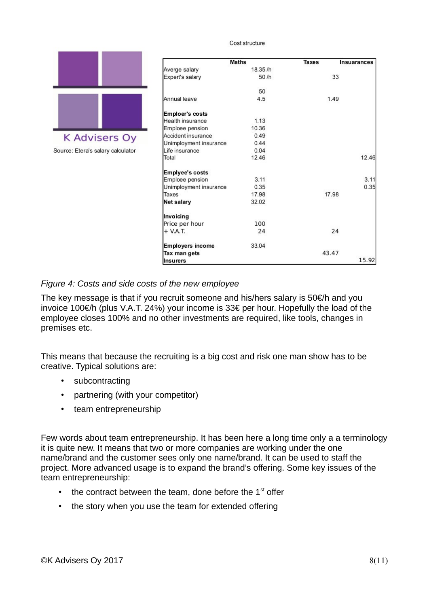Cost structure



Source: Etera's salary calculator

|                        | <b>Maths</b> | <b>Taxes</b> | Insuarances |  |
|------------------------|--------------|--------------|-------------|--|
| Averge salary          | 18.35/h      |              |             |  |
| Expert's salary        | 50/h         |              | 33          |  |
|                        | 50           |              |             |  |
| Annual leave           | 4.5          |              | 1.49        |  |
| Emploer's costs        |              |              |             |  |
| Health insurance       | 1.13         |              |             |  |
| Emploee pension        | 10.36        |              |             |  |
| Accident insurance     | 0.49         |              |             |  |
| Unimployment insurance | 0.44         |              |             |  |
| Life insurance         | 0.04         |              |             |  |
| Total                  | 12.46        |              | 12.46       |  |
| Emplyee's costs        |              |              |             |  |
| Emploee pension        | 3.11         |              | 3.11        |  |
| Unimployment insurance | 0.35         |              | 0.35        |  |
| Taxes                  | 17.98        | 17.98        |             |  |
| Net salary             | 32.02        |              |             |  |
| Invoicing              |              |              |             |  |
| Price per hour         | 100          |              |             |  |
| $+$ V.A.T.             | 24           |              | 24          |  |
| Employers income       | 33.04        |              |             |  |
| Tax man gets           |              | 43.47        |             |  |
| <b>Insurers</b>        |              |              | 15.92       |  |

#### *Figure 4: Costs and side costs of the new employee*

The key message is that if you recruit someone and his/hers salary is 50€/h and you invoice 100€/h (plus V.A.T. 24%) your income is 33€ per hour. Hopefully the load of the employee closes 100% and no other investments are required, like tools, changes in premises etc.

This means that because the recruiting is a big cost and risk one man show has to be creative. Typical solutions are:

- subcontracting
- partnering (with your competitor)
- team entrepreneurship

Few words about team entrepreneurship. It has been here a long time only a a terminology it is quite new. It means that two or more companies are working under the one name/brand and the customer sees only one name/brand. It can be used to staff the project. More advanced usage is to expand the brand's offering. Some key issues of the team entrepreneurship:

- $\cdot$  the contract between the team, done before the  $1^{st}$  offer
- the story when you use the team for extended offering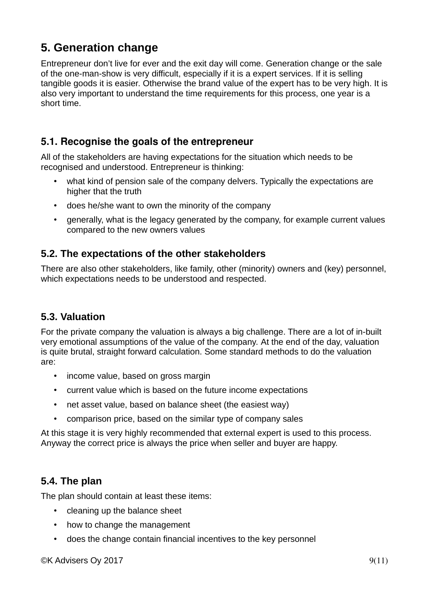### **5. Generation change**

Entrepreneur don't live for ever and the exit day will come. Generation change or the sale of the one-man-show is very difficult, especially if it is a expert services. If it is selling tangible goods it is easier. Otherwise the brand value of the expert has to be very high. It is also very important to understand the time requirements for this process, one year is a short time.

#### **5.1. Recognise the goals of the entrepreneur**

All of the stakeholders are having expectations for the situation which needs to be recognised and understood. Entrepreneur is thinking:

- what kind of pension sale of the company delvers. Typically the expectations are higher that the truth
- does he/she want to own the minority of the company
- generally, what is the legacy generated by the company, for example current values compared to the new owners values

#### **5.2. The expectations of the other stakeholders**

There are also other stakeholders, like family, other (minority) owners and (key) personnel, which expectations needs to be understood and respected.

#### **5.3. Valuation**

For the private company the valuation is always a big challenge. There are a lot of in-built very emotional assumptions of the value of the company. At the end of the day, valuation is quite brutal, straight forward calculation. Some standard methods to do the valuation are:

- income value, based on gross margin
- current value which is based on the future income expectations
- net asset value, based on balance sheet (the easiest way)
- comparison price, based on the similar type of company sales

At this stage it is very highly recommended that external expert is used to this process. Anyway the correct price is always the price when seller and buyer are happy.

#### **5.4. The plan**

The plan should contain at least these items:

- cleaning up the balance sheet
- how to change the management
- does the change contain financial incentives to the key personnel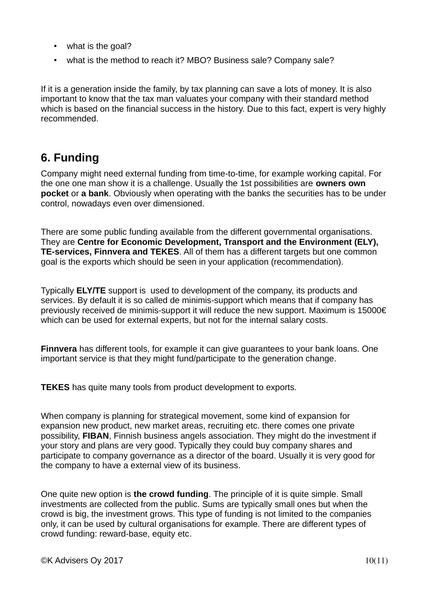- what is the goal?
- what is the method to reach it? MBO? Business sale? Company sale?

If it is a generation inside the family, by tax planning can save a lots of money. It is also important to know that the tax man valuates your company with their standard method which is based on the financial success in the history. Due to this fact, expert is very highly recommended.

### **6. Funding**

Company might need external funding from time-to-time, for example working capital. For the one one man show it is a challenge. Usually the 1st possibilities are **owners own pocket** or **a bank**. Obviously when operating with the banks the securities has to be under control, nowadays even over dimensioned.

There are some public funding available from the different governmental organisations. They are **Centre for Economic Development, Transport and the Environment (ELY), TE-services, Finnvera and TEKES**. All of them has a different targets but one common goal is the exports which should be seen in your application (recommendation).

Typically **ELY/TE** support is used to development of the company, its products and services. By default it is so called de minimis-support which means that if company has previously received de minimis-support it will reduce the new support. Maximum is 15000€ which can be used for external experts, but not for the internal salary costs.

**Finnvera** has different tools, for example it can give guarantees to your bank loans. One important service is that they might fund/participate to the generation change.

**TEKES** has quite many tools from product development to exports.

When company is planning for strategical movement, some kind of expansion for expansion new product, new market areas, recruiting etc. there comes one private possibility, **FIBAN**, Finnish business angels association. They might do the investment if your story and plans are very good. Typically they could buy company shares and participate to company governance as a director of the board. Usually it is very good for the company to have a external view of its business.

One quite new option is **the crowd funding**. The principle of it is quite simple. Small investments are collected from the public. Sums are typically small ones but when the crowd is big, the investment grows. This type of funding is not limited to the companies only, it can be used by cultural organisations for example. There are different types of crowd funding: reward-base, equity etc.